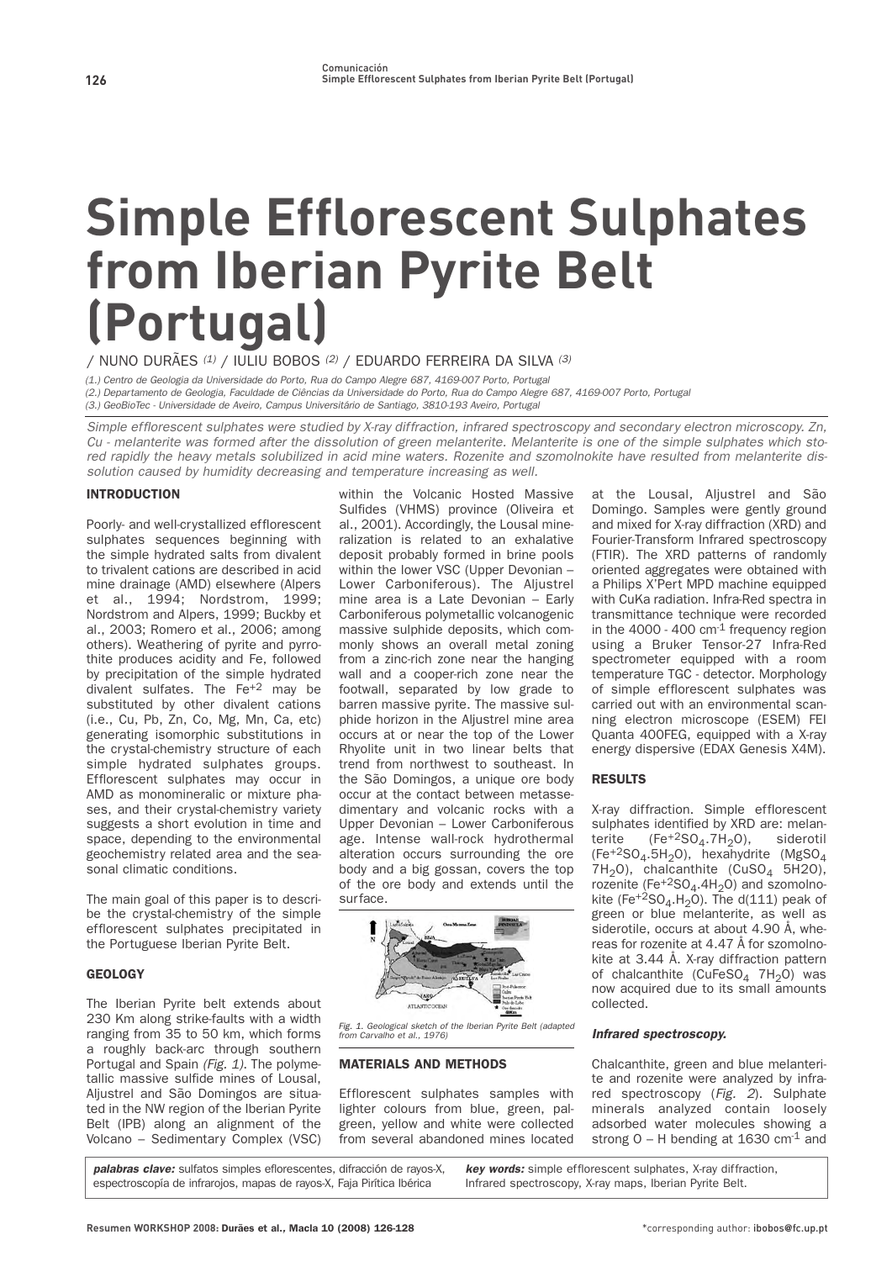# **Simple Efflorescent Sulphates from Iberian Pyrite Belt (Portugal)**

**/ NUNO DURÃES** (1) **/ IULIU BOBOS** (2) **/ EDUARDO FERREIRA DA SILVA** (3)

(1.) Centro de Geologia da Universidade do Porto, Rua do Campo Alegre 687, 4169-007 Porto, Portugal (2.) Departamento de Geologia, Faculdade de Ciências da Universidade do Porto, Rua do Campo Alegre 687, 4169-007 Porto, Portugal (3.) GeoBioTec - Universidade de Aveiro, Campus Universitário de Santiago, 3810-193 Aveiro, Portugal

Simple efflorescent sulphates were studied by X-ray diffraction, infrared spectroscopy and secondary electron microscopy. Zn, Cu - melanterite was formed after the dissolution of green melanterite. Melanterite is one of the simple sulphates which stored rapidly the heavy metals solubilized in acid mine waters. Rozenite and szomolnokite have resulted from melanterite dissolution caused by humidity decreasing and temperature increasing as well.

# INTRODUCTION

**Poorly- and well-crystallized efflorescent sulphates sequences beginning with the simple hydrated salts from divalent to trivalent cations are described in acid mine drainage (AMD) elsewhere (Alpers et al., 1994; Nordstrom, 1999; Nordstrom and Alpers, 1999; Buckby et al., 2003; Romero et al., 2006; among others). Weathering of pyrite and pyrrothite produces acidity and Fe, followed by precipitation of the simple hydrated divalent sulfates. The Fe+2 may be substituted by other divalent cations (i.e., Cu, Pb, Zn, Co, Mg, Mn, Ca, etc) generating isomorphic substitutions in the crystal-chemistry structure of each simple hydrated sulphates groups. Efflorescent sulphates may occur in AMD as monomineralic or mixture phases, and their crystal-chemistry variety suggests a short evolution in time and space, depending to the environmental geochemistry related area and the seasonal climatic conditions.**

**The main goal of this paper is to describe the crystal-chemistry of the simple efflorescent sulphates precipitated in the Portuguese Iberian Pyrite Belt.**

# **GEOLOGY**

**The Iberian Pyrite belt extends about 230 Km along strike-faults with a width ranging from 35 to 50 km, which forms a roughly back-arc through southern** Portugal and Spain (Fig. 1). The polyme**tallic massive sulfide mines of Lousal, Aljustrel and São Domingos are situated in the NW region of the Iberian Pyrite Belt (IPB) along an alignment of the Volcano – Sedimentary Complex (VSC)**

**within the Volcanic Hosted Massive Sulfides (VHMS) province (Oliveira et al., 2001). Accordingly, the Lousal mineralization is related to an exhalative deposit probably formed in brine pools within the lower VSC (Upper Devonian – Lower Carboniferous). The Aljustrel mine area is a Late Devonian – Early Carboniferous polymetallic volcanogenic massive sulphide deposits, which commonly shows an overall metal zoning from a zinc-rich zone near the hanging wall and a cooper-rich zone near the footwall, separated by low grade to barren massive pyrite. The massive sulphide horizon in the Aljustrel mine area occurs at or near the top of the Lower Rhyolite unit in two linear belts that trend from northwest to southeast. In the São Domingos, a unique ore body occur at the contact between metassedimentary and volcanic rocks with a Upper Devonian – Lower Carboniferous age. Intense wall-rock hydrothermal alteration occurs surrounding the ore body and a big gossan, covers the top of the ore body and extends until the surface.**



Fig. 1. Geological sketch of the Iberian Pyrite Belt (adapted from Carvalho et al., 1976)

# MATERIALS AND METHODS

**Efflorescent sulphates samples with lighter colours from blue, green, palgreen, yellow and white were collected from several abandoned mines located** **at the Lousal, Aljustrel and São Domingo. Samples were gently ground and mixed for X-ray diffraction (XRD) and Fourier-Transform Infrared spectroscopy (FTIR). The XRD patterns of randomly oriented aggregates were obtained with a Philips X'Pert MPD machine equipped with CuKa radiation. Infra-Red spectra in transmittance technique were recorded in the 4000 - 400 cm-1 frequency region using a Bruker Tensor-27 Infra-Red spectrometer equipped with a room temperature TGC - detector. Morphology of simple efflorescent sulphates was carried out with an environmental scanning electron microscope (ESEM) FEI Quanta 400FEG, equipped with a X-ray energy dispersive (EDAX Genesis X4M).**

# RESULTS

**X-ray diffraction. Simple efflorescent sulphates identified by XRD are: melan**terite (Fe<sup>+2</sup>SO<sub>4</sub>.7H<sub>2</sub>O), siderotil **(Fe+2SO4.5H2O), hexahydrite (MgSO4 7H2O), chalcanthite (CuSO4 5H2O),** rozenite (Fe<sup>+2</sup>SO<sub>4</sub>.4H<sub>2</sub>O) and szomolnokite (Fe<sup>+2</sup>SO<sub>4</sub>.H<sub>2</sub>O). The d(111) peak of **green or blue melanterite, as well as siderotile, occurs at about 4.90 Å, whereas for rozenite at 4.47 Å for szomolnokite at 3.44 Å. X-ray diffraction pattern** of chalcanthite (CuFeSO<sub>4</sub> 7H<sub>2</sub>O) was **now acquired due to its small amounts collected.**

## **Infrared spectroscopy.**

**Chalcanthite, green and blue melanterite and rozenite were analyzed by infrared spectroscopy (**Fig. 2**). Sulphate minerals analyzed contain loosely adsorbed water molecules showing a strong O – H bending at 1630 cm-1 and**

**palabras clave: sulfatos simples eflorescentes, difracción de rayos-X, espectroscopía de infrarojos, mapas de rayos-X, Faja Pirítica Ibérica**

**key words: simple efflorescent sulphates, X-ray diffraction, Infrared spectroscopy, X-ray maps, Iberian Pyrite Belt.**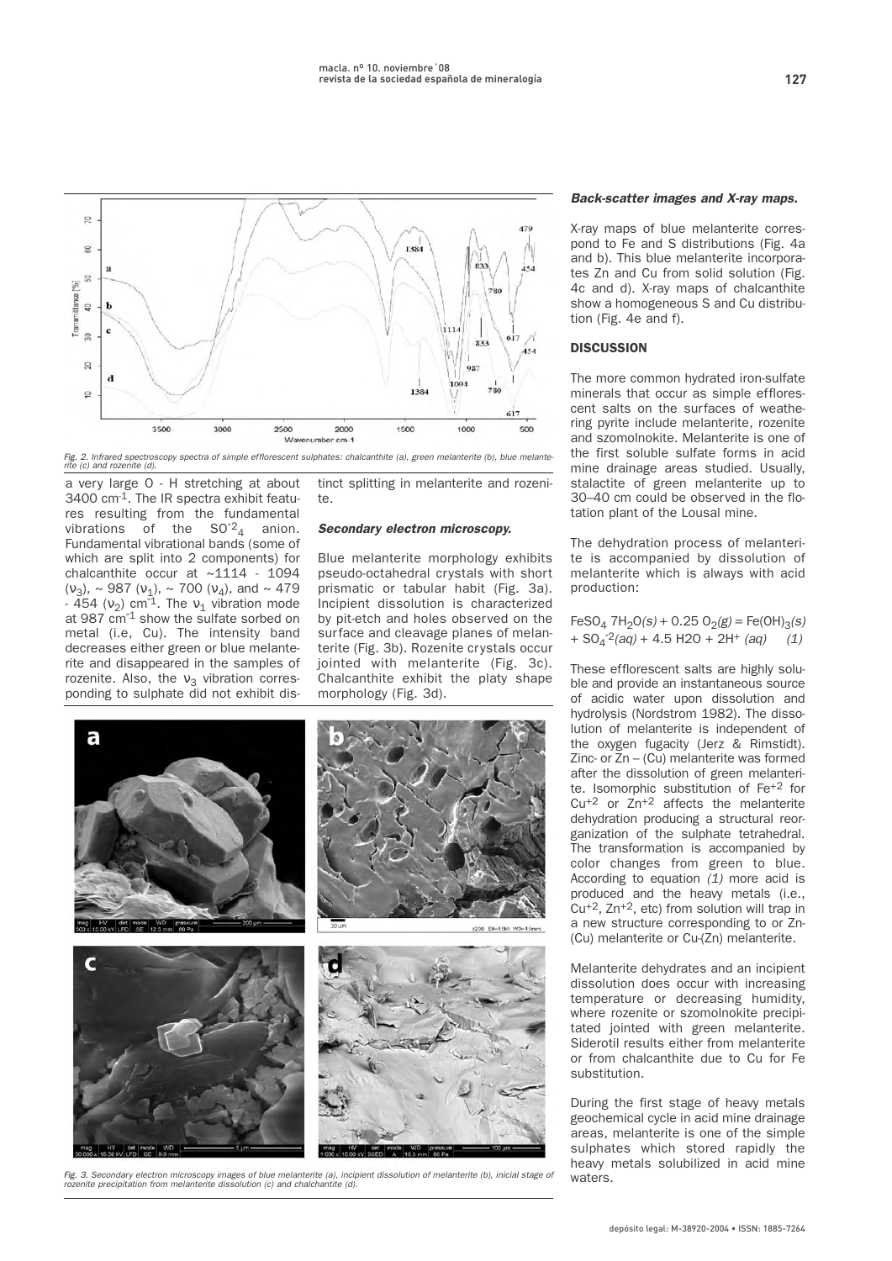

Fig. 2. Infrared spectroscopy spectra of simple efflorescent sulphates: chalcanthite (a), green melanterite (b), blue melante-rite (c) and rozenite (d).

**a very large O - H stretching at about 3400 cm-1. The IR spectra exhibit features resulting from the fundamental** vibrations of the  $SO<sup>2</sup><sub>4</sub>$  anion. **Fundamental vibrational bands (some of which are split into 2 components) for chalcanthite occur at ~1114 - 1094 (**ν**3), ~ 987 (**ν**1), ~ 700 (**ν**4), and ~ 479 - 454 (**ν**2) cm-1. The** <sup>ν</sup>**<sup>1</sup> vibration mode at 987 cm-1 show the sulfate sorbed on metal (i.e, Cu). The intensity band decreases either green or blue melanterite and disappeared in the samples of rozenite.** Also, the  $ν_3$  vibration corres**ponding to sulphate did not exhibit dis-**

**tinct splitting in melanterite and rozenite.** 

### **Secondary electron microscopy.**

**Blue melanterite morphology exhibits pseudo-octahedral crystals with short prismatic or tabular habit (Fig. 3a). Incipient dissolution is characterized by pit-etch and holes observed on the surface and cleavage planes of melanterite (Fig. 3b). Rozenite crystals occur jointed with melanterite (Fig. 3c). Chalcanthite exhibit the platy shape morphology (Fig. 3d).** 



Fig. 3. Secondary electron microscopy images of blue melanterite (a), incipient dissolution of melanterite (b), inicial stage of<br>rozenite precipitation from melanterite dissolution (c) and chalchantite (d).

## **Back-scatter images and X-ray maps.**

**X-ray maps of blue melanterite correspond to Fe and S distributions (Fig. 4a and b). This blue melanterite incorporates Zn and Cu from solid solution (Fig. 4c and d). X-ray maps of chalcanthite show a homogeneous S and Cu distribution (Fig. 4e and f).**

### **DISCUSSION**

**The more common hydrated iron-sulfate minerals that occur as simple efflorescent salts on the surfaces of weathering pyrite include melanterite, rozenite and szomolnokite. Melanterite is one of the first soluble sulfate forms in acid mine drainage areas studied. Usually, stalactite of green melanterite up to 30–40 cm could be observed in the flotation plant of the Lousal mine.**

**The dehydration process of melanterite is accompanied by dissolution of melanterite which is always with acid production:**

 $FeSO<sub>4</sub>$  **7H<sub>2</sub>O**(s) + 0.25 O<sub>2</sub>(g) = Fe(OH)<sub>3</sub>(s)  $+ SO_4^{-2}(aq) + 4.5 H2O + 2H^+(aq)$  (1)

**These efflorescent salts are highly soluble and provide an instantaneous source of acidic water upon dissolution and hydrolysis (Nordstrom 1982). The dissolution of melanterite is independent of the oxygen fugacity (Jerz & Rimstidt). Zinc- or Zn – (Cu) melanterite was formed after the dissolution of green melanterite. Isomorphic substitution of Fe+2 for Cu+2 or Zn+2 affects the melanterite dehydration producing a structural reorganization of the sulphate tetrahedral. The transformation is accompanied by color changes from green to blue. According to equation** (1) **more acid is produced and the heavy metals (i.e., Cu+2, Zn+2, etc) from solution will trap in a new structure corresponding to or Zn- (Cu) melanterite or Cu-(Zn) melanterite.**

**Melanterite dehydrates and an incipient dissolution does occur with increasing temperature or decreasing humidity, where rozenite or szomolnokite precipitated jointed with green melanterite. Siderotil results either from melanterite or from chalcanthite due to Cu for Fe substitution.**

**During the first stage of heavy metals geochemical cycle in acid mine drainage areas, melanterite is one of the simple sulphates which stored rapidly the heavy metals solubilized in acid mine waters.**